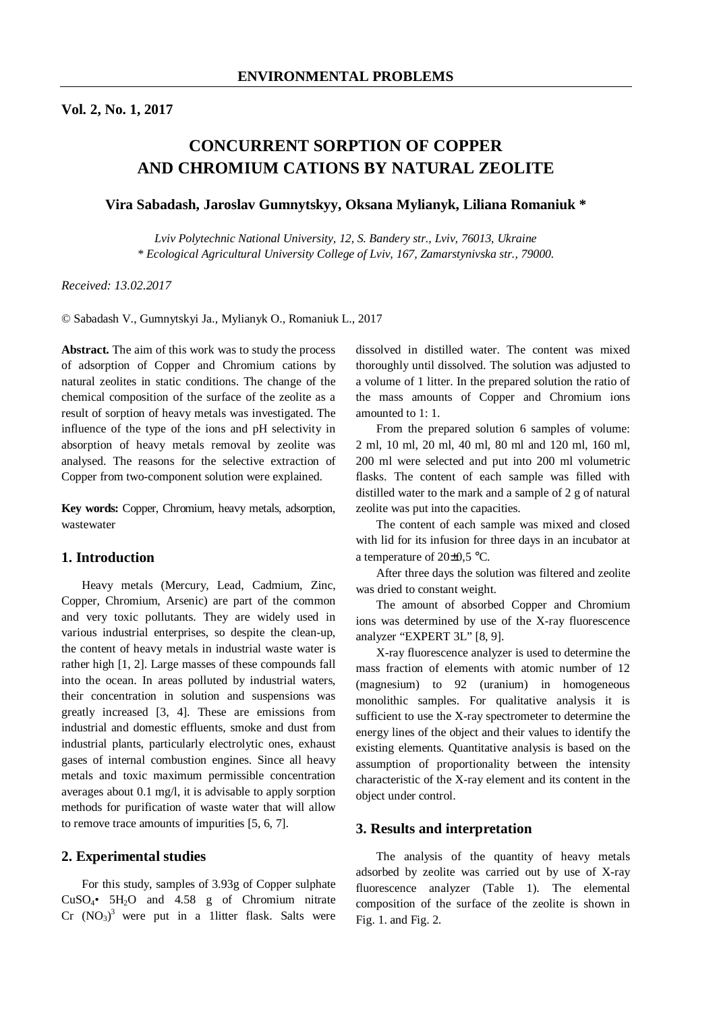# **Vol. 2, No. 1, 2017**

# **CONCURRENT SORPTION OF COPPER AND CHROMIUM CATIONS BY NATURAL ZEOLITE**

# **Vira Sabadash, Jaroslav Gumnytskyy, Oksana Mylianyk, Liliana Romaniuk \***

*Lviv Polytechnic National University, 12, S. Bandery str., Lviv, 76013, Ukraine \* Ecological Agricultural University College of Lviv, 167, Zamarstynivska str., 79000.* 

*Received: 13.02.2017* 

© Sabadash V., Gumnytskyi Ja., Mylianyk O., Romaniuk L., 2017

**Abstract.** The aim of this work was to study the process of adsorption of Copper and Chromium cations by natural zeolites in static conditions. The change of the chemical composition of the surface of the zeolite as a result of sorption of heavy metals was investigated. The influence of the type of the ions and pH selectivity in absorption of heavy metals removal by zeolite was analysed. The reasons for the selective extraction of Copper from two-component solution were explained.

**Key words:** Copper, Chromium, heavy metals, adsorption, wastewater

# **1. Introduction**

Heavy metals (Mercury, Lead, Cadmium, Zinc, Copper, Chromium, Arsenic) are part of the common and very toxic pollutants. They are widely used in various industrial enterprises, so despite the clean-up, the content of heavy metals in industrial waste water is rather high [1, 2]. Large masses of these compounds fall into the ocean. In areas polluted by industrial waters, their concentration in solution and suspensions was greatly increased [3, 4]. These are emissions from industrial and domestic effluents, smoke and dust from industrial plants, particularly electrolytic ones, exhaust gases of internal combustion engines. Since all heavy metals and toxic maximum permissible concentration averages about 0.1 mg/l, it is advisable to apply sorption methods for purification of waste water that will allow to remove trace amounts of impurities [5, 6, 7].

### **2. Experimental studies**

For this study, samples of 3.93g of Copper sulphate  $CuSO<sub>4</sub>•$  5H<sub>2</sub>O and 4.58 g of Chromium nitrate  $Cr (NO<sub>3</sub>)<sup>3</sup>$  were put in a 1litter flask. Salts were dissolved in distilled water. The content was mixed thoroughly until dissolved. The solution was adjusted to a volume of 1 litter. In the prepared solution the ratio of the mass amounts of Copper and Chromium ions amounted to 1: 1.

From the prepared solution 6 samples of volume: 2 ml, 10 ml, 20 ml, 40 ml, 80 ml and 120 ml, 160 ml, 200 ml were selected and put into 200 ml volumetric flasks. The content of each sample was filled with distilled water to the mark and a sample of 2 g of natural zeolite was put into the capacities.

The content of each sample was mixed and closed with lid for its infusion for three days in an incubator at a temperature of 20±0,5 °C.

After three days the solution was filtered and zeolite was dried to constant weight.

The amount of absorbed Copper and Chromium ions was determined by use of the X-ray fluorescence analyzer "EXPERT 3L" [8, 9].

X-ray fluorescence analyzer is used to determine the mass fraction of elements with atomic number of 12 (magnesium) to 92 (uranium) in homogeneous monolithic samples. For qualitative analysis it is sufficient to use the X-ray spectrometer to determine the energy lines of the object and their values to identify the existing elements. Quantitative analysis is based on the assumption of proportionality between the intensity characteristic of the X-ray element and its content in the object under control.

#### **3. Results and interpretation**

The analysis of the quantity of heavy metals adsorbed by zeolite was carried out by use of X-ray fluorescence analyzer (Table 1). The elemental composition of the surface of the zeolite is shown in Fig. 1. and Fig. 2.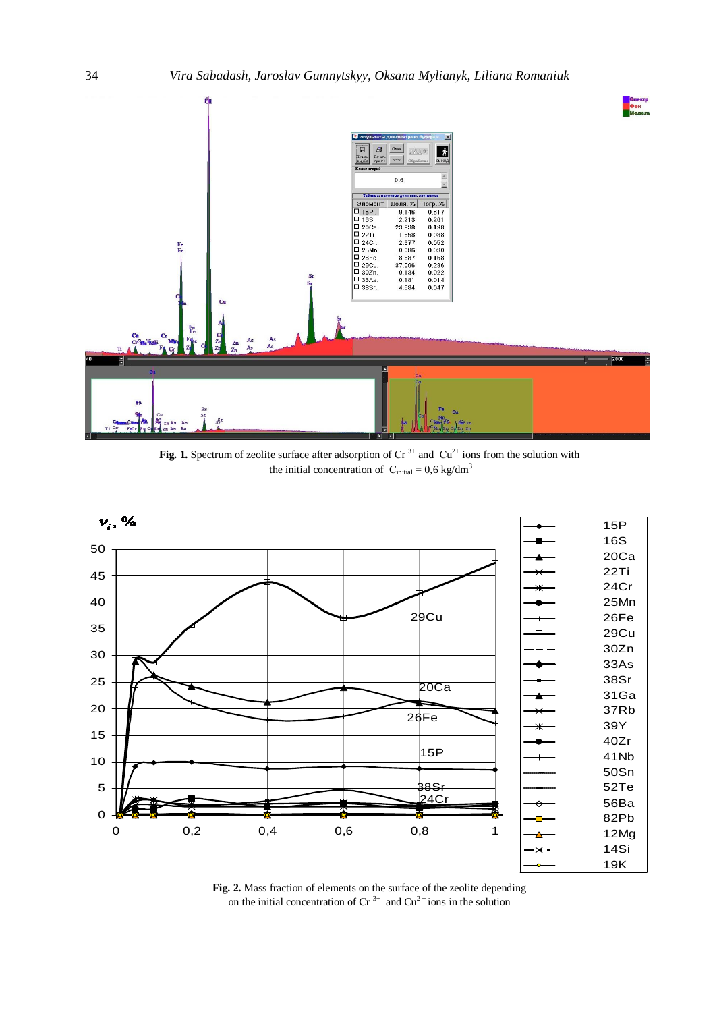

**Fig. 1.** Spectrum of zeolite surface after adsorption of  $Cr^{3+}$  and  $Cu^{2+}$  ions from the solution with the initial concentration of  $C_{initial} = 0.6 \text{ kg/dm}^3$ 



**Fig. 2.** Mass fraction of elements on the surface of the zeolite depending on the initial concentration of  $Cr^{3+}$  and  $Cu^{2+}$ ions in the solution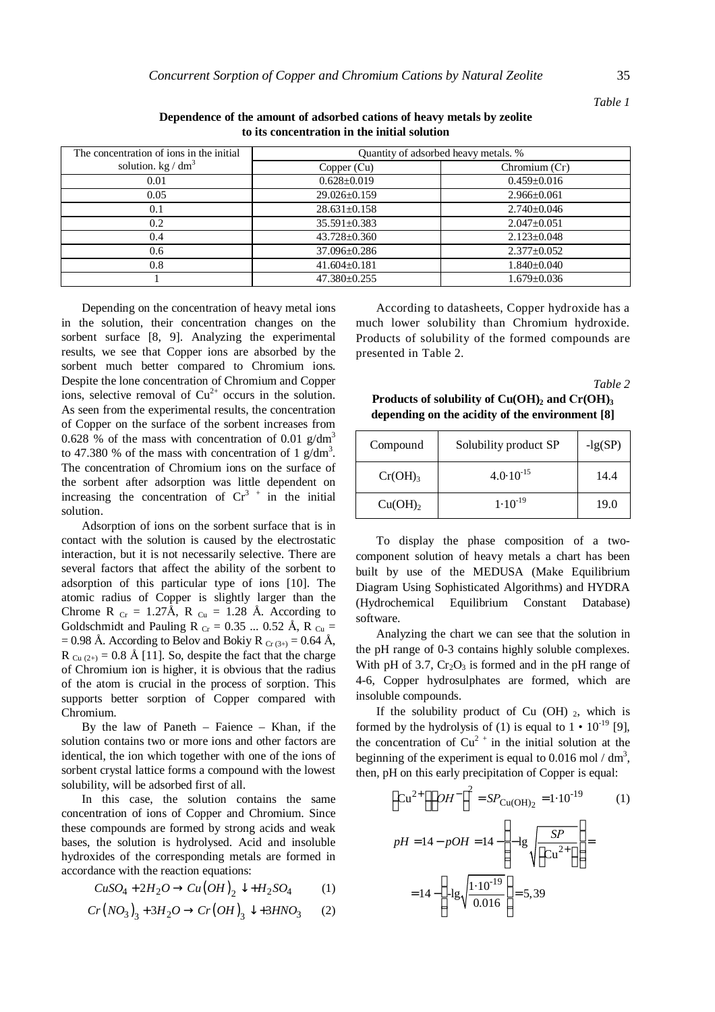| The concentration of ions in the initial | Quantity of adsorbed heavy metals. % |                   |
|------------------------------------------|--------------------------------------|-------------------|
| solution. $\text{kg}/\text{dm}^3$        | Copper (Cu)                          | Chromium (Cr)     |
| 0.01                                     | $0.628 \pm 0.019$                    | $0.459 \pm 0.016$ |
| 0.05                                     | $29.026 \pm 0.159$                   | $2.966 \pm 0.061$ |
| 0.1                                      | $28.631 \pm 0.158$                   | $2.740 \pm 0.046$ |
| 0.2                                      | $35.591 \pm 0.383$                   | $2.047+0.051$     |
| 0.4                                      | $43.728 \pm 0.360$                   | $2.123 + 0.048$   |
| 0.6                                      | 37.096±0.286                         | $2.377 \pm 0.052$ |
| 0.8                                      | $41.604 \pm 0.181$                   | $1.840 \pm 0.040$ |
|                                          | $47.380 + 0.255$                     | $1.679 + 0.036$   |

**Dependence of the amount of adsorbed cations of heavy metals by zeolite to its concentration in the initial solution** 

Depending on the concentration of heavy metal ions in the solution, their concentration changes on the sorbent surface [8, 9]. Analyzing the experimental results, we see that Copper ions are absorbed by the sorbent much better compared to Chromium ions. Despite the lone concentration of Chromium and Copper ions, selective removal of  $Cu^{2+}$  occurs in the solution. As seen from the experimental results, the concentration of Copper on the surface of the sorbent increases from 0.628 % of the mass with concentration of 0.01  $g/dm<sup>3</sup>$ to 47.380 % of the mass with concentration of 1  $\frac{g}{dm}$ <sup>3</sup>. The concentration of Chromium ions on the surface of the sorbent after adsorption was little dependent on increasing the concentration of  $Cr^{3+}$  in the initial solution.

Adsorption of ions on the sorbent surface that is in contact with the solution is caused by the electrostatic interaction, but it is not necessarily selective. There are several factors that affect the ability of the sorbent to adsorption of this particular type of ions [10]. The atomic radius of Copper is slightly larger than the Chrome R  $_{Cr}$  = 1.27Å, R  $_{Cu}$  = 1.28 Å. According to Goldschmidt and Pauling R  $_{Cr}$  = 0.35 ... 0.52 Å, R  $_{Cu}$  =  $= 0.98$  Å. According to Belov and Bokiy R  $_{Cr (3+)} = 0.64$  Å, R  $_{Cu(2+)}$  = 0.8 Å [11]. So, despite the fact that the charge of Chromium ion is higher, it is obvious that the radius of the atom is crucial in the process of sorption. This supports better sorption of Copper compared with Chromium.

By the law of Paneth – Faience – Khan, if the solution contains two or more ions and other factors are identical, the ion which together with one of the ions of sorbent crystal lattice forms a compound with the lowest solubility, will be adsorbed first of all.

In this case, the solution contains the same concentration of ions of Copper and Chromium. Since these compounds are formed by strong acids and weak bases, the solution is hydrolysed. Acid and insoluble hydroxides of the corresponding metals are formed in accordance with the reaction equations:

$$
CuSO_4 + 2H_2O \to Cu(OH)_2 \downarrow + H_2SO_4 \tag{1}
$$

$$
Cr\left(NO_3\right)_3 + 3H_2O \rightarrow Cr\left(OH\right)_3 \downarrow + 3HNO_3 \qquad (2)
$$

According to datasheets, Copper hydroxide has a much lower solubility than Chromium hydroxide. Products of solubility of the formed compounds are presented in Table 2.

*Table 2* 

**Products of solubility of Cu(OH)<sup>2</sup> and Сr(OH)<sup>3</sup> depending on the acidity of the environment [8]** 

| Compound            | Solubility product SP | $-lg(SP)$ |
|---------------------|-----------------------|-----------|
| Cr(OH) <sub>3</sub> | $4.0 \cdot 10^{-15}$  | 14.4      |
| $Cu(OH)_{2}$        | $1.10^{-19}$          | 19.0      |

To display the phase composition of a twocomponent solution of heavy metals a chart has been built by use of the MEDUSA (Make Equilibrium Diagram Using Sophisticated Algorithms) and HYDRA (Hydrochemical Equilibrium Constant Database) software.

Analyzing the chart we can see that the solution in the pH range of 0-3 contains highly soluble complexes. With pH of 3.7,  $Cr_2O_3$  is formed and in the pH range of 4-6, Copper hydrosulphates are formed, which are insoluble compounds.

If the solubility product of Cu  $(OH)$ <sub>2</sub>, which is formed by the hydrolysis of (1) is equal to  $1 \cdot 10^{-19}$  [9], the concentration of  $Cu^{2+}$  in the initial solution at the beginning of the experiment is equal to 0.016 mol  $/$  dm<sup>3</sup>, then, pH on this early precipitation of Copper is equal:

$$
\[C u^{2+} \left\| O H^{-} \right\|^2 = S P_{\text{Cu(OH)}_2} = 1.10^{-19} \qquad (1)
$$
  

$$
pH = 14 - pOH = 14 - \left( -1 \text{g} \sqrt{\frac{SP}{\left[ Cu^{2+} \right]}} \right) =
$$
  

$$
= 14 - \left( -1 \text{g} \sqrt{\frac{1.10^{-19}}{0.016}} \right) = 5,39
$$